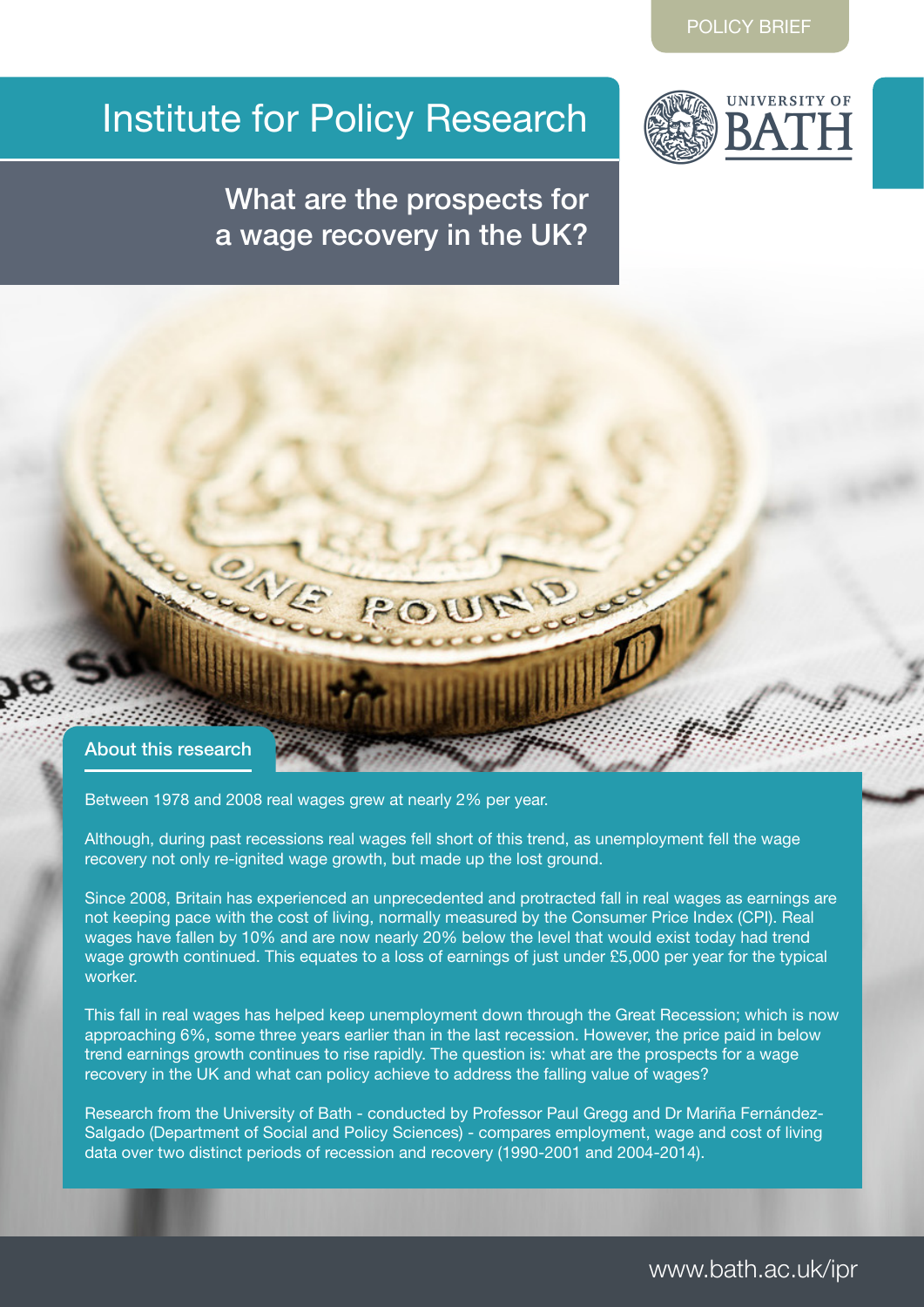# Institute for Policy Research



## What are the prospects for a wage recovery in the UK?



Between 1978 and 2008 real wages grew at nearly 2% per year.

Although, during past recessions real wages fell short of this trend, as unemployment fell the wage recovery not only re-ignited wage growth, but made up the lost ground.

Since 2008, Britain has experienced an unprecedented and protracted fall in real wages as earnings are not keeping pace with the cost of living, normally measured by the Consumer Price Index (CPI). Real wages have fallen by 10% and are now nearly 20% below the level that would exist today had trend wage growth continued. This equates to a loss of earnings of just under £5,000 per year for the typical worker.

This fall in real wages has helped keep unemployment down through the Great Recession; which is now approaching 6%, some three years earlier than in the last recession. However, the price paid in below trend earnings growth continues to rise rapidly. The question is: what are the prospects for a wage recovery in the UK and what can policy achieve to address the falling value of wages?

Research from the University of Bath - conducted by Professor Paul Gregg and Dr Mariña Fernández-Salgado (Department of Social and Policy Sciences) - compares employment, wage and cost of living data over two distinct periods of recession and recovery (1990-2001 and 2004-2014).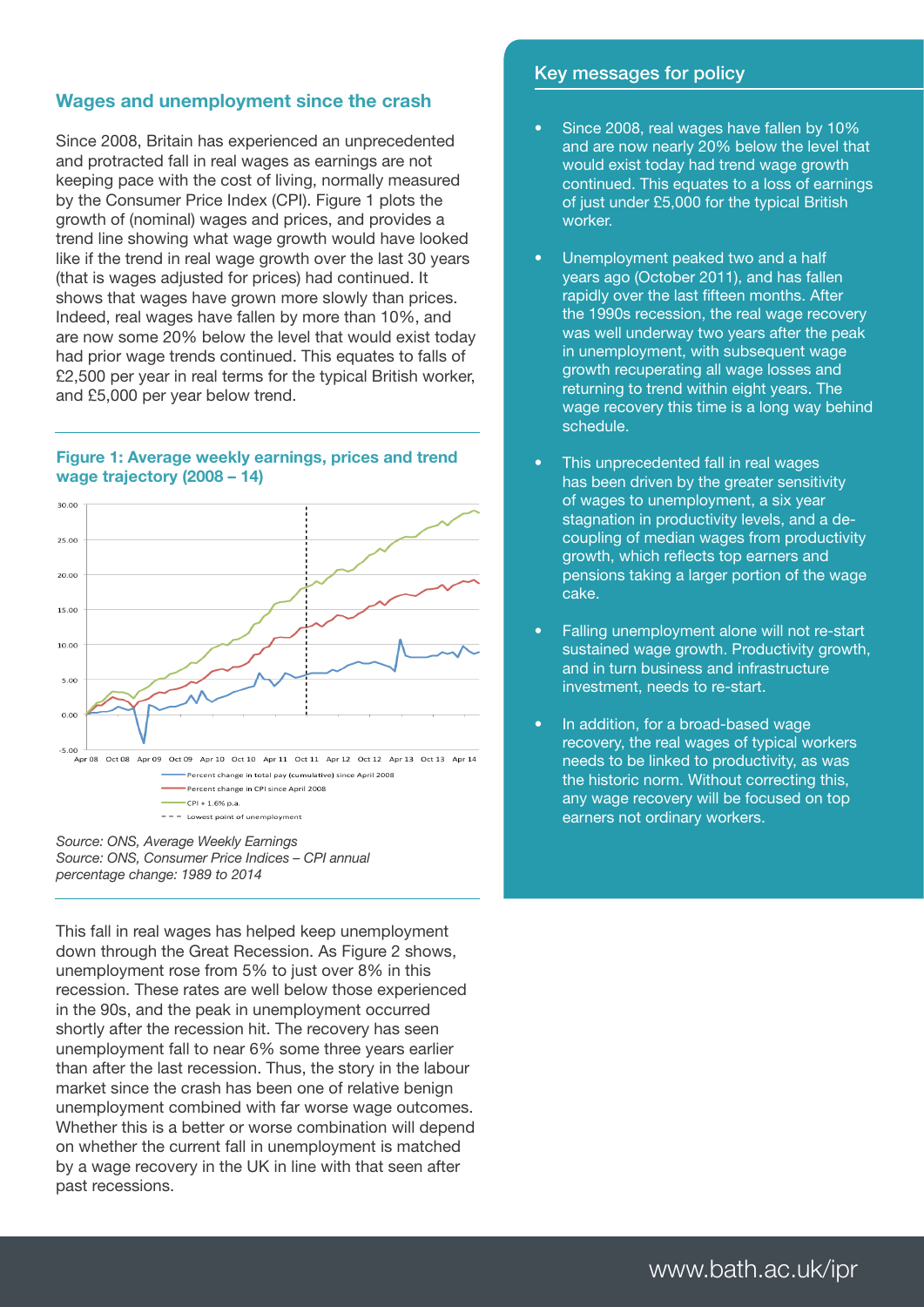#### Wages and unemployment since the crash

Since 2008, Britain has experienced an unprecedented and protracted fall in real wages as earnings are not keeping pace with the cost of living, normally measured by the Consumer Price Index (CPI). Figure 1 plots the growth of (nominal) wages and prices, and provides a trend line showing what wage growth would have looked like if the trend in real wage growth over the last 30 years (that is wages adjusted for prices) had continued. It shows that wages have grown more slowly than prices. Indeed, real wages have fallen by more than 10%, and are now some 20% below the level that would exist today had prior wage trends continued. This equates to falls of £2,500 per year in real terms for the typical British worker, and £5,000 per year below trend.

#### Figure 1: Average weekly earnings, prices and trend wage trajectory (2008 – 14)



*Source: ONS, Average Weekly Earnings Source: ONS, Consumer Price Indices – CPI annual percentage change: 1989 to 2014*

This fall in real wages has helped keep unemployment down through the Great Recession. As Figure 2 shows, unemployment rose from 5% to just over 8% in this recession. These rates are well below those experienced in the 90s, and the peak in unemployment occurred shortly after the recession hit. The recovery has seen unemployment fall to near 6% some three years earlier than after the last recession. Thus, the story in the labour market since the crash has been one of relative benign unemployment combined with far worse wage outcomes. Whether this is a better or worse combination will depend on whether the current fall in unemployment is matched by a wage recovery in the UK in line with that seen after past recessions.

#### Key messages for policy

- Since 2008, real wages have fallen by 10% and are now nearly 20% below the level that would exist today had trend wage growth continued. This equates to a loss of earnings of just under £5,000 for the typical British worker.
- Unemployment peaked two and a half years ago (October 2011), and has fallen rapidly over the last fifteen months. After the 1990s recession, the real wage recovery was well underway two years after the peak in unemployment, with subsequent wage growth recuperating all wage losses and returning to trend within eight years. The wage recovery this time is a long way behind schedule.
- This unprecedented fall in real wages has been driven by the greater sensitivity of wages to unemployment, a six year stagnation in productivity levels, and a decoupling of median wages from productivity growth, which reflects top earners and pensions taking a larger portion of the wage cake.
- Falling unemployment alone will not re-start sustained wage growth. Productivity growth, and in turn business and infrastructure investment, needs to re-start.
- In addition, for a broad-based wage recovery, the real wages of typical workers needs to be linked to productivity, as was the historic norm. Without correcting this, any wage recovery will be focused on top earners not ordinary workers.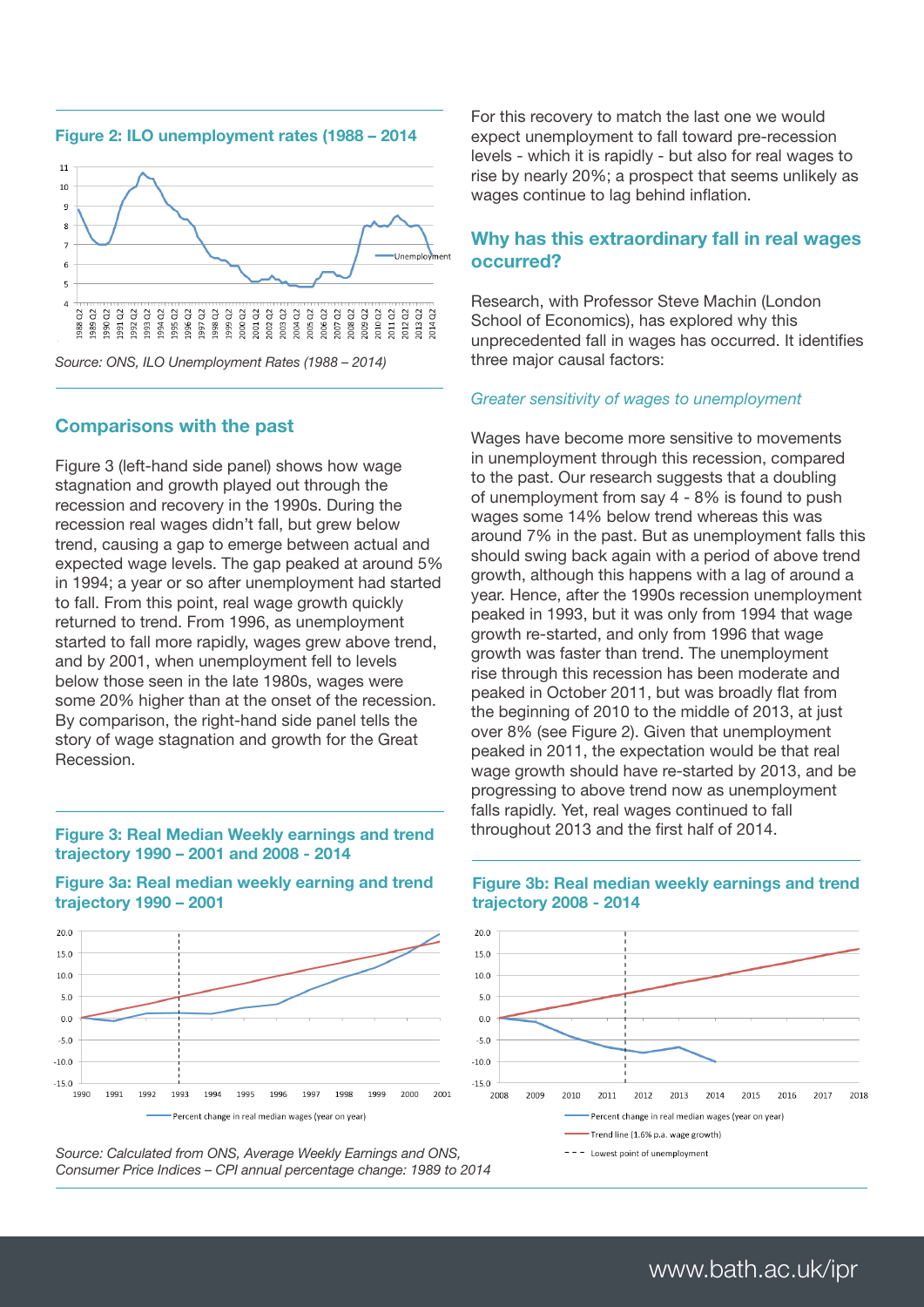

Figure 2: ILO unemployment rates (1988 – 2014

*Source: ONS, ILO Unemployment Rates (1988 – 2014)*

#### Comparisons with the past

Figure 3 (left-hand side panel) shows how wage stagnation and growth played out through the recession and recovery in the 1990s. During the recession real wages didn't fall, but grew below trend, causing a gap to emerge between actual and expected wage levels. The gap peaked at around 5% in 1994; a year or so after unemployment had started to fall. From this point, real wage growth quickly returned to trend. From 1996, as unemployment started to fall more rapidly, wages grew above trend, and by 2001, when unemployment fell to levels below those seen in the late 1980s, wages were some 20% higher than at the onset of the recession. By comparison, the right-hand side panel tells the story of wage stagnation and growth for the Great Recession.

#### Figure 3: Real Median Weekly earnings and trend trajectory 1990 – 2001 and 2008 - 2014



Figure 3a: Real median weekly earning and trend trajectory 1990 – 2001

*Source: Calculated from ONS, Average Weekly Earnings and ONS, Consumer Price Indices – CPI annual percentage change: 1989 to 2014*

Percent change in real median wages (year on year)

For this recovery to match the last one we would expect unemployment to fall toward pre-recession levels - which it is rapidly - but also for real wages to rise by nearly 20%; a prospect that seems unlikely as wages continue to lag behind inflation.

#### Why has this extraordinary fall in real wages occurred?

Research, with Professor Steve Machin (London School of Economics), has explored why this unprecedented fall in wages has occurred. It identifies three major causal factors:

#### *Greater sensitivity of wages to unemployment*

Wages have become more sensitive to movements in unemployment through this recession, compared to the past. Our research suggests that a doubling of unemployment from say 4 - 8% is found to push wages some 14% below trend whereas this was around 7% in the past. But as unemployment falls this should swing back again with a period of above trend growth, although this happens with a lag of around a year. Hence, after the 1990s recession unemployment peaked in 1993, but it was only from 1994 that wage growth re-started, and only from 1996 that wage growth was faster than trend. The unemployment rise through this recession has been moderate and peaked in October 2011, but was broadly flat from the beginning of 2010 to the middle of 2013, at just over 8% (see Figure 2). Given that unemployment peaked in 2011, the expectation would be that real wage growth should have re-started by 2013, and be progressing to above trend now as unemployment falls rapidly. Yet, real wages continued to fall throughout 2013 and the first half of 2014.



#### Figure 3b: Real median weekly earnings and trend trajectory 2008 - 2014

### www.bath.ac.uk/ipr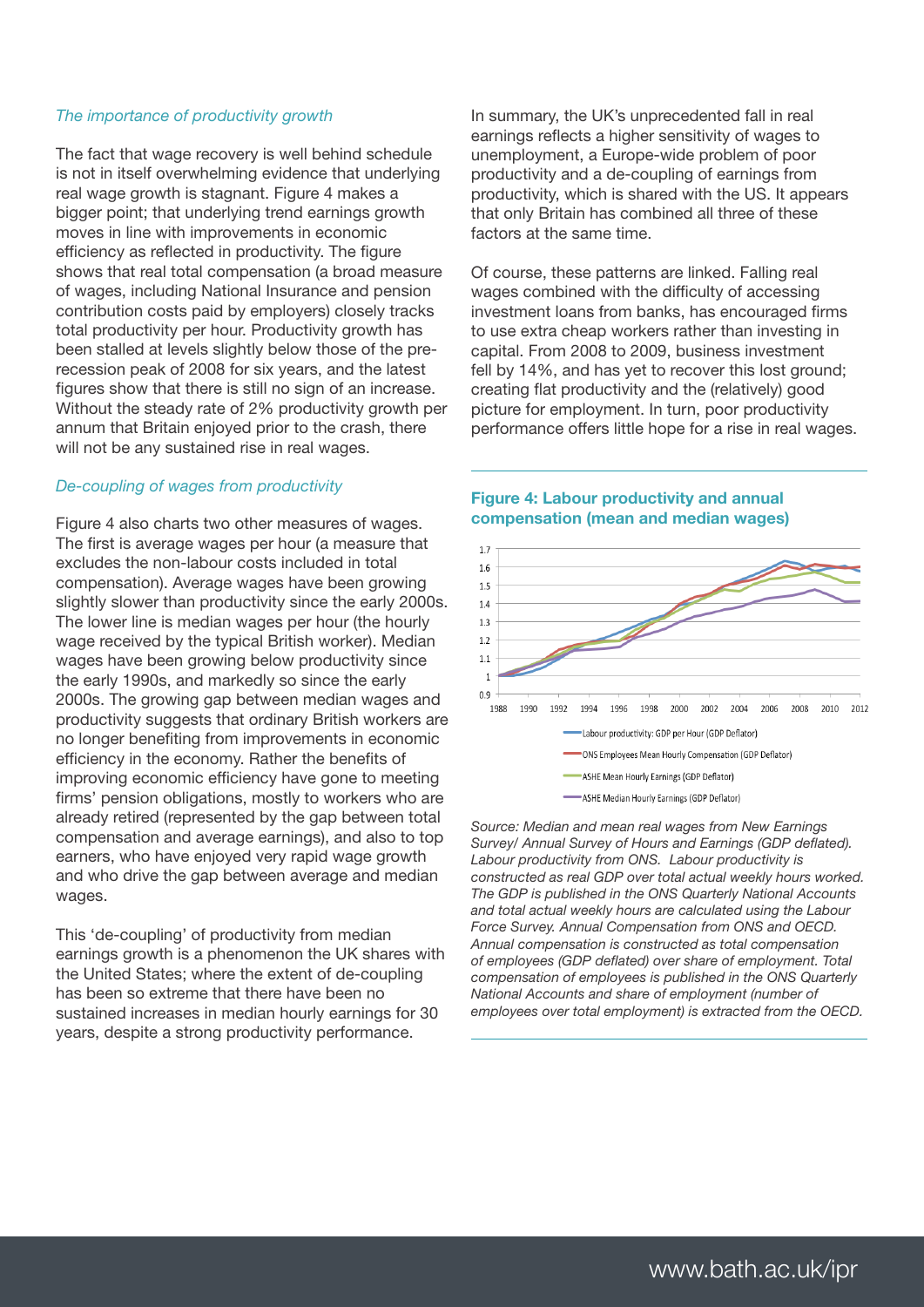#### *The importance of productivity growth*

The fact that wage recovery is well behind schedule is not in itself overwhelming evidence that underlying real wage growth is stagnant. Figure 4 makes a bigger point; that underlying trend earnings growth moves in line with improvements in economic efficiency as reflected in productivity. The figure shows that real total compensation (a broad measure of wages, including National Insurance and pension contribution costs paid by employers) closely tracks total productivity per hour. Productivity growth has been stalled at levels slightly below those of the prerecession peak of 2008 for six years, and the latest figures show that there is still no sign of an increase. Without the steady rate of 2% productivity growth per annum that Britain enjoyed prior to the crash, there will not be any sustained rise in real wages.

#### *De-coupling of wages from productivity*

Figure 4 also charts two other measures of wages. The first is average wages per hour (a measure that excludes the non-labour costs included in total compensation). Average wages have been growing slightly slower than productivity since the early 2000s. The lower line is median wages per hour (the hourly wage received by the typical British worker). Median wages have been growing below productivity since the early 1990s, and markedly so since the early 2000s. The growing gap between median wages and productivity suggests that ordinary British workers are no longer benefiting from improvements in economic efficiency in the economy. Rather the benefits of improving economic efficiency have gone to meeting firms' pension obligations, mostly to workers who are already retired (represented by the gap between total compensation and average earnings), and also to top earners, who have enjoyed very rapid wage growth and who drive the gap between average and median wages.

This 'de-coupling' of productivity from median earnings growth is a phenomenon the UK shares with the United States; where the extent of de-coupling has been so extreme that there have been no sustained increases in median hourly earnings for 30 years, despite a strong productivity performance.

In summary, the UK's unprecedented fall in real earnings reflects a higher sensitivity of wages to unemployment, a Europe-wide problem of poor productivity and a de-coupling of earnings from productivity, which is shared with the US. It appears that only Britain has combined all three of these factors at the same time.

Of course, these patterns are linked. Falling real wages combined with the difficulty of accessing investment loans from banks, has encouraged firms to use extra cheap workers rather than investing in capital. From 2008 to 2009, business investment fell by 14%, and has yet to recover this lost ground; creating flat productivity and the (relatively) good picture for employment. In turn, poor productivity performance offers little hope for a rise in real wages.



*Source: Median and mean real wages from New Earnings Survey/ Annual Survey of Hours and Earnings (GDP deflated). Labour productivity from ONS. Labour productivity is constructed as real GDP over total actual weekly hours worked. The GDP is published in the ONS Quarterly National Accounts and total actual weekly hours are calculated using the Labour Force Survey. Annual Compensation from ONS and OECD. Annual compensation is constructed as total compensation of employees (GDP deflated) over share of employment. Total compensation of employees is published in the ONS Quarterly National Accounts and share of employment (number of employees over total employment) is extracted from the OECD.* 

#### Figure 4: Labour productivity and annual compensation (mean and median wages)

l,